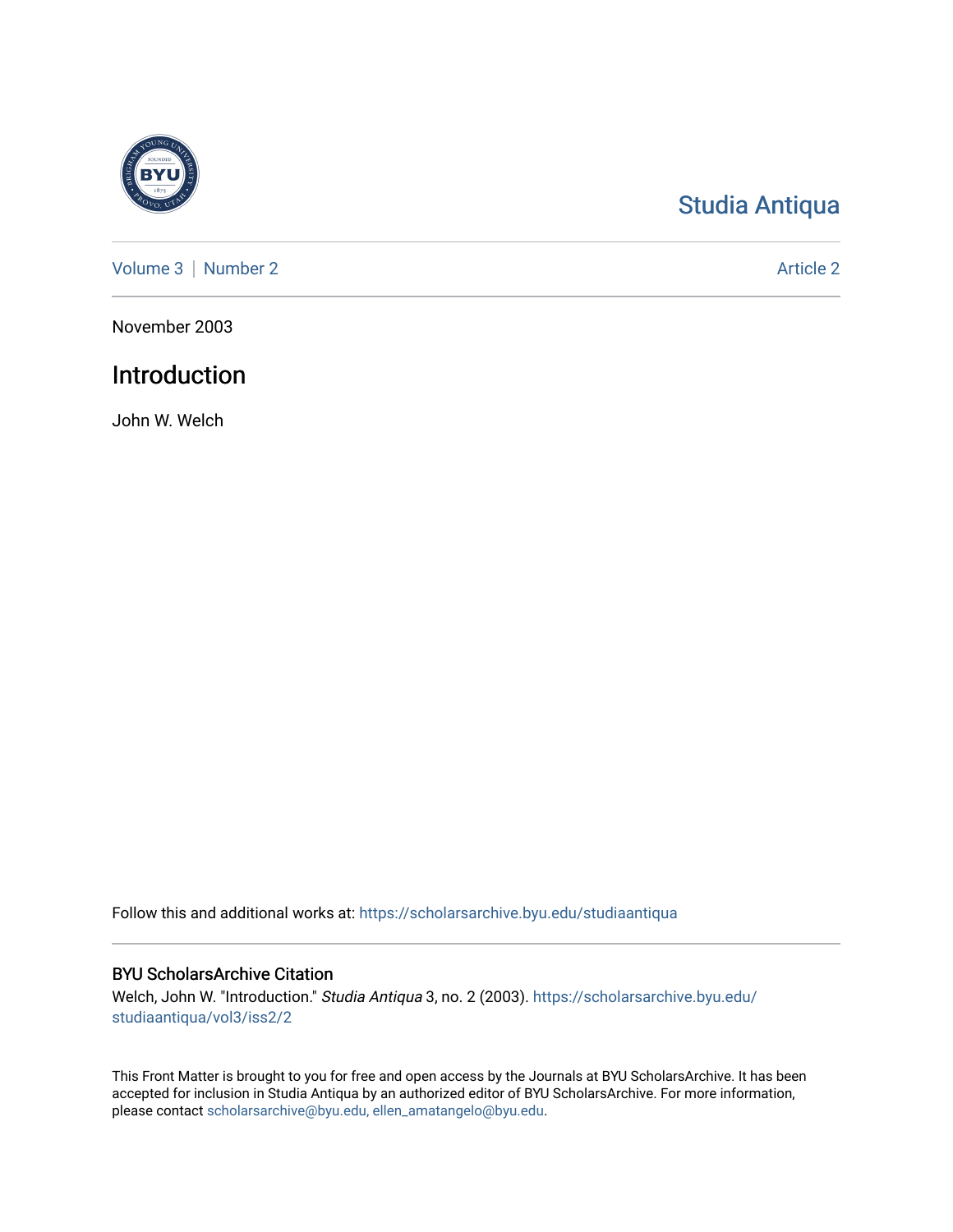

# [Studia Antiqua](https://scholarsarchive.byu.edu/studiaantiqua)

[Volume 3](https://scholarsarchive.byu.edu/studiaantiqua/vol3) | [Number 2](https://scholarsarchive.byu.edu/studiaantiqua/vol3/iss2) Article 2

November 2003

## Introduction

John W. Welch

Follow this and additional works at: [https://scholarsarchive.byu.edu/studiaantiqua](https://scholarsarchive.byu.edu/studiaantiqua?utm_source=scholarsarchive.byu.edu%2Fstudiaantiqua%2Fvol3%2Fiss2%2F2&utm_medium=PDF&utm_campaign=PDFCoverPages) 

## BYU ScholarsArchive Citation

Welch, John W. "Introduction." Studia Antiqua 3, no. 2 (2003). [https://scholarsarchive.byu.edu/](https://scholarsarchive.byu.edu/studiaantiqua/vol3/iss2/2?utm_source=scholarsarchive.byu.edu%2Fstudiaantiqua%2Fvol3%2Fiss2%2F2&utm_medium=PDF&utm_campaign=PDFCoverPages) [studiaantiqua/vol3/iss2/2](https://scholarsarchive.byu.edu/studiaantiqua/vol3/iss2/2?utm_source=scholarsarchive.byu.edu%2Fstudiaantiqua%2Fvol3%2Fiss2%2F2&utm_medium=PDF&utm_campaign=PDFCoverPages) 

This Front Matter is brought to you for free and open access by the Journals at BYU ScholarsArchive. It has been accepted for inclusion in Studia Antiqua by an authorized editor of BYU ScholarsArchive. For more information, please contact [scholarsarchive@byu.edu, ellen\\_amatangelo@byu.edu.](mailto:scholarsarchive@byu.edu,%20ellen_amatangelo@byu.edu)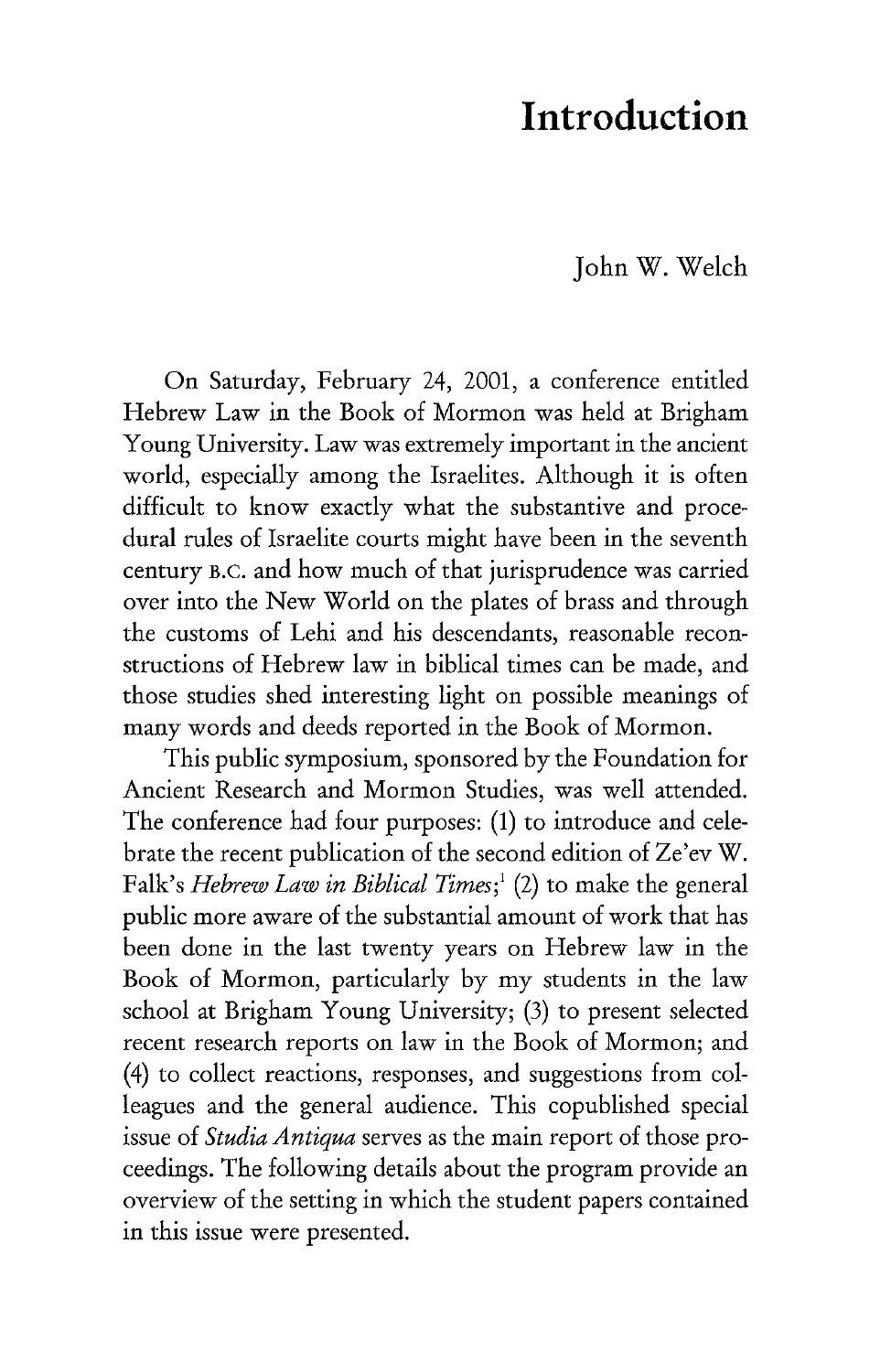## **Introduction**

John W. Welch

On Saturday, February 24, 2001, a conference entitled Hebrew Law in the Book of Mormon was held at Brigham Young University. Law was extremely important in the ancient world, especially among the Israelites. Although it is often difficult to know exactly what the substantive and procedural rules of Israelite courts might have been in the seventh century B.C. and how much of that jurisprudence was carried over into the New World on the plates of brass and through the customs of Lehi and his descendants, reasonable reconstructions of Hebrew law in biblical times can be made, and those studies shed interesting light on possible meanings of many words and deeds reported in the Book of Mormon.

This public symposium, sponsored by the Foundation for Ancient Research and Mormon Studies, was well attended. The conference had four purposes: (1) to introduce and celebrate the recent publication of the second edition of Ze'ev W. Falk's *Hebrew Law in Biblical Times;* <sup>1</sup>(2) to make the general public more aware of the substantial amount of work that has been done in the last twenty years on Hebrew law in the Book of Mormon, particularly by my students in the law school at Brigham Young University; (3) to present selected recent research reports on law in the Book of Mormon; and (4) to collect reactions, responses, and suggestions from colleagues and the general audience. This copublished special issue of *Studia Antiqua* serves as the main report of those proceedings. The following details about the program provide an overview of the setting in which the student papers contained in this issue were presented.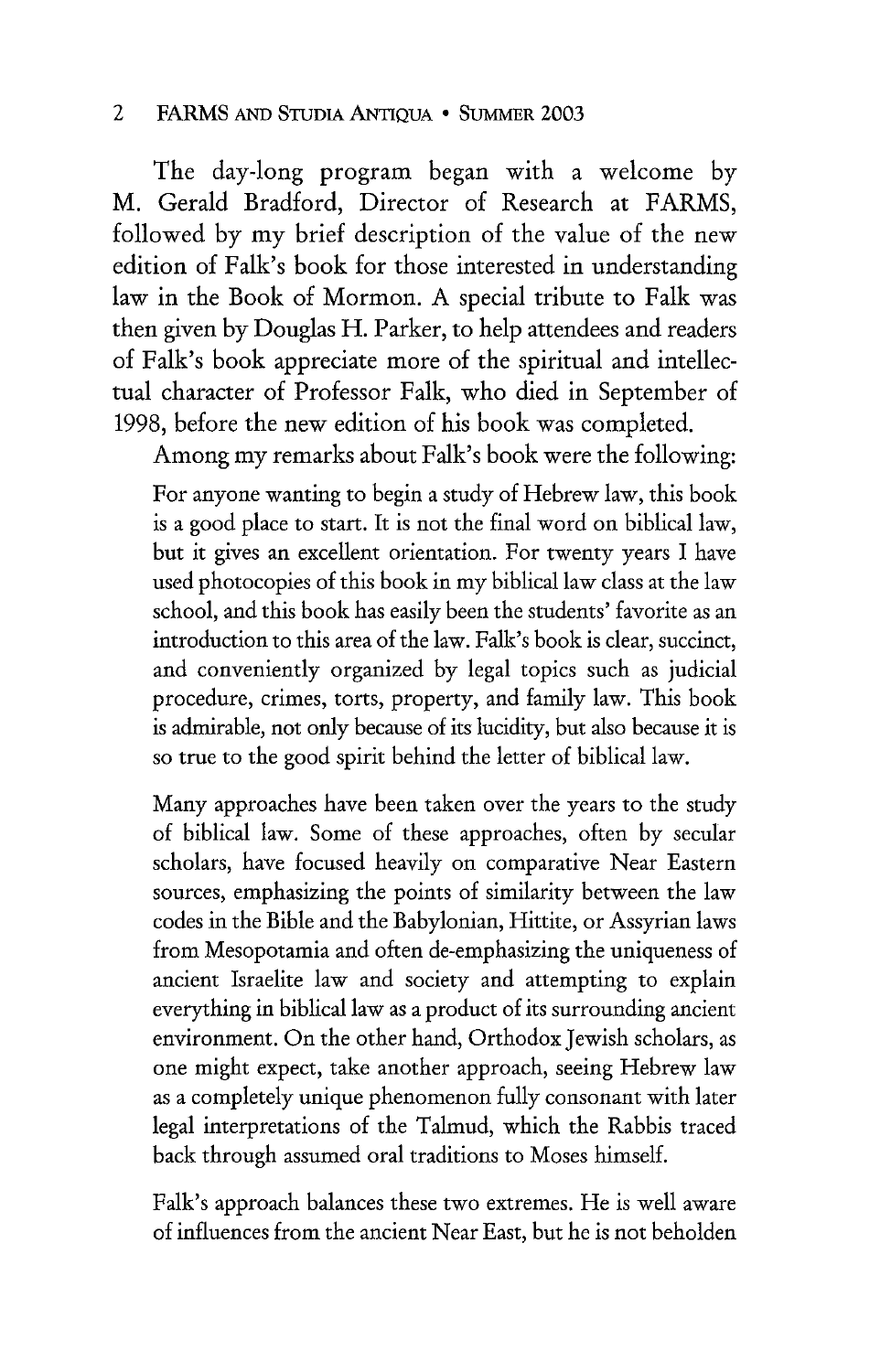The day-long program began with a welcome by M. Gerald Bradford, Director of Research at FARMS, followed by my brief description of the value of the new edition of Falk's book for those interested in understanding law in the Book of Mormon. A special tribute to Falk was then given by Douglas H. Parker, to help attendees and readers of Falk's book appreciate more of the spiritual and intellectual character of Professor Falk, who died in September of 1998, before the new edition of his book was completed.

Among my remarks about Falk's book were the following:

For anyone wanting to begin a study of Hebrew law, this book is a good place to start. It is not the final word on biblical law, but it gives an excellent orientation. For twenty years I have used photocopies of this book in my biblical law class at the law school, and this book has easily been the students' favorite as an introduction to this area of the law. Falk's book is clear, succinct, and conveniently organized by legal topics such as judicial procedure, crimes, torts, property, and family law. This book is admirable, not only because of its lucidity, but also because it is so true to the good spirit behind the letter of biblical law.

Many approaches have been taken over the years to the study of biblical law. Some of these approaches, often by secular scholars, have focused heavily on comparative Near Eastern sources, emphasizing the points of similarity between the law codes in the Bible and the Babylonian, Hittite, or Assyrian laws from Mesopotamia and often de-emphasizing the uniqueness of ancient Israelite law and society and attempting to explain everything in biblical law as a product of its surrounding ancient environment. On the other hand, Orthodox Jewish scholars, as one might expect, take another approach, seeing Hebrew law as a completely unique phenomenon fully consonant with later legal interpretations of the Talmud, which the Rabbis traced back through assumed oral traditions to Moses himself.

Falk's approach balances these two extremes. He is well aware of influences from the ancient Near East, but he is not beholden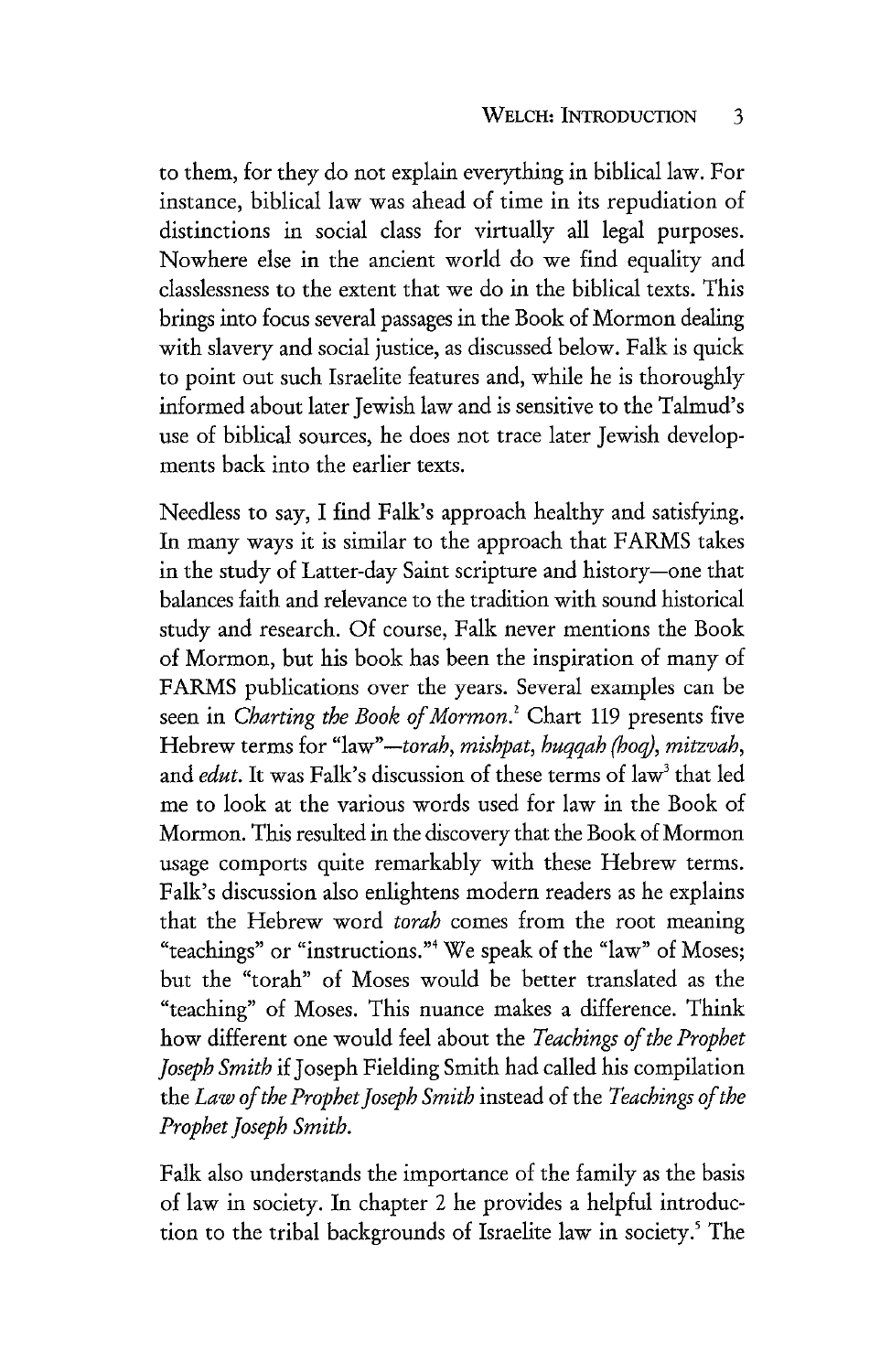to them, for they do not explain everything in biblical law. For instance, biblical law was ahead of time in its repudiation of distinctions in social class for virtually all legal purposes. Nowhere else in the ancient world do we find equality and classlessness to the extent that we do in the biblical texts. This brings into focus several passages in the Book of Mormon dealing with slavery and social justice, as discussed below. Falk is quick to point out such Israelite features and, while he is thoroughly informed about later Jewish law and is sensitive to the Talmud's use of biblical sources, he does not trace later Jewish developments back into the earlier texts.

Needless to say, I find Falk's approach healthy and satisfying. In many ways it is similar to the approach that FARMS takes in the study of Latter-day Saint scripture and history-one that balances faith and relevance to the tradition with sound historical study and research. Of course, Falk never mentions the Book of Mormon, but his book has been the inspiration of many of FARMS publications over the years. Several examples can be seen in *Charting the Book of Mormon*.<sup>2</sup> Chart 119 presents five Hebrew terms for "law" *-torah, mishpat, huqqah (hoq), mitzvah,*  and *edut*. It was Falk's discussion of these terms of law<sup>3</sup> that led me to look at the various words used for law in the Book of Mormon. This resulted in the discovery that the Book of Mormon usage comports quite remarkably with these Hebrew terms. Falk's discussion also enlightens modern readers as he explains that the Hebrew word *torah* comes from the root meaning "teachings" or "instructions."4 We speak of the "law" of Moses; but the "torah" of Moses would be better translated as the "teaching" of Moses. This nuance makes a difference. Think how different one would feel about the *Teachings of the Prophet joseph Smith* if Joseph Fielding Smith had called his compilation the *Law of the Prophet Joseph Smith* instead of the *Teachings of the Prophet Joseph Smith.* 

Falk also understands the importance of the family as the basis of law in society. In chapter 2 he provides a helpful introduction to the tribal backgrounds of Israelite law in society.<sup>5</sup> The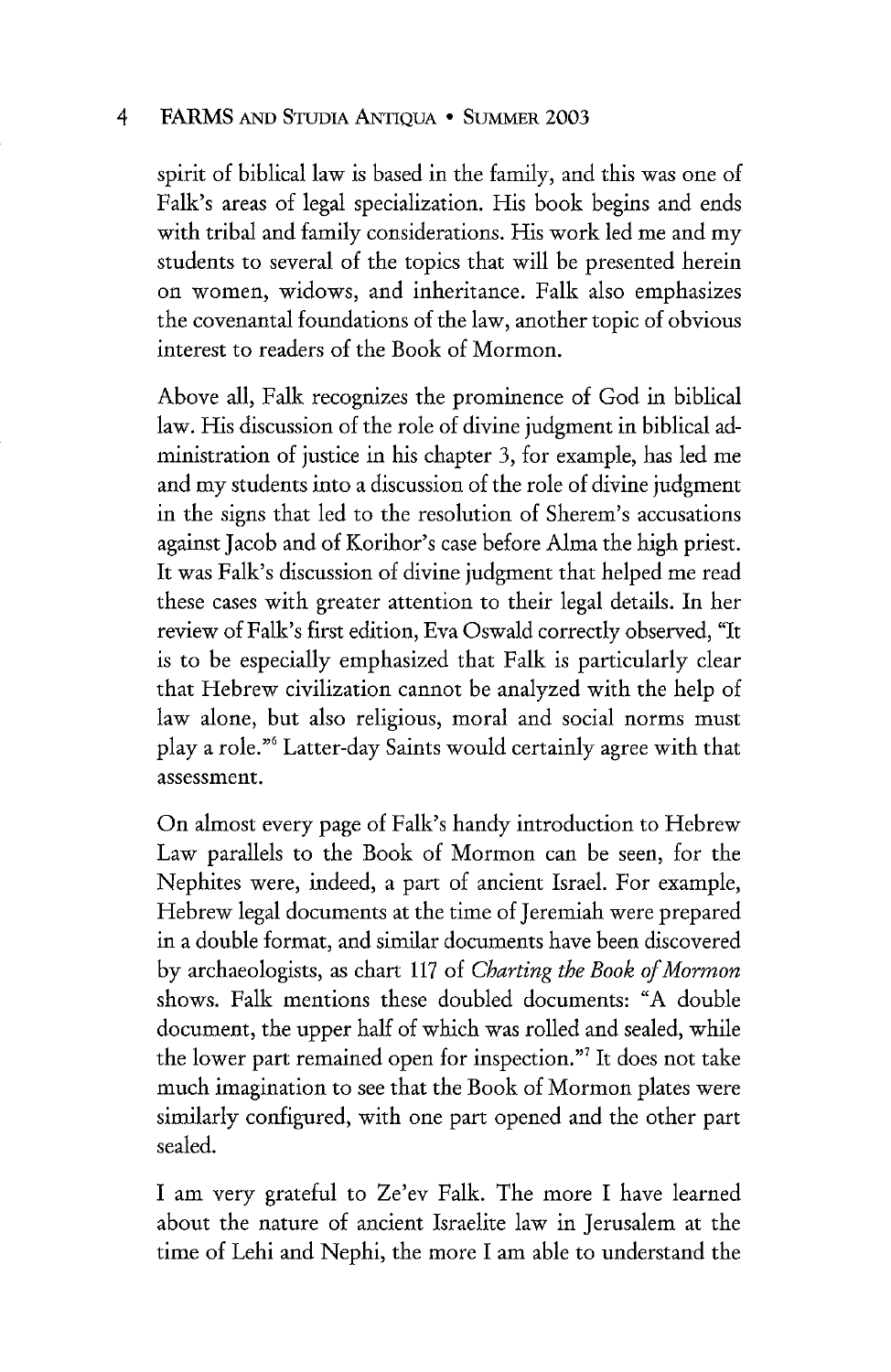spirit of biblical law is based in the family, and this was one of Falk's areas of legal specialization. His book begins and ends with tribal and family considerations. His work led me and my students to several of the topics that will be presented herein on women, widows, and inheritance. Falk also emphasizes the covenantal foundations of the law, another topic of obvious interest to readers of the Book of Mormon.

Above all, Falk recognizes the prominence of God in biblical law. His discussion of the role of divine judgment in biblical administration of justice in his chapter 3, for example, has led me and my students into a discussion of the role of divine judgment in the signs that led to the resolution of Sherem's accusations against Jacob and of Korihor's case before Alma the high priest. It was Falk's discussion of divine judgment that helped me read these cases with greater attention to their legal details. In her review of Falk's first edition, Eva Oswald correctly observed, "It is to be especially emphasized that Falk is particularly clear that Hebrew civilization cannot be analyzed with the help of law alone, but also religious, moral and social norms must play a role."<sup>6</sup> Latter-day Saints would certainly agree with that assessment.

On almost every page of Falk's handy introduction to Hebrew Law parallels to the Book of Mormon can be seen, for the Nephites were, indeed, a part of ancient Israel. For example, Hebrew legal documents at the time of Jeremiah were prepared in a double format, and similar documents have been discovered by archaeologists, as chart 117 of *Charting the Book of Mormon*  shows. Falk mentions these doubled documents: "A double document, the upper half of which was rolled and sealed, while the lower part remained open for inspection."7 It does not take much imagination to see that the Book of Mormon plates were similarly configured, with one part opened and the other part sealed.

I am very grateful to Ze'ev Falk. The more I have learned about the nature of ancient Israelite law in Jerusalem at the time of Lehi and Nephi, the more I am able to understand the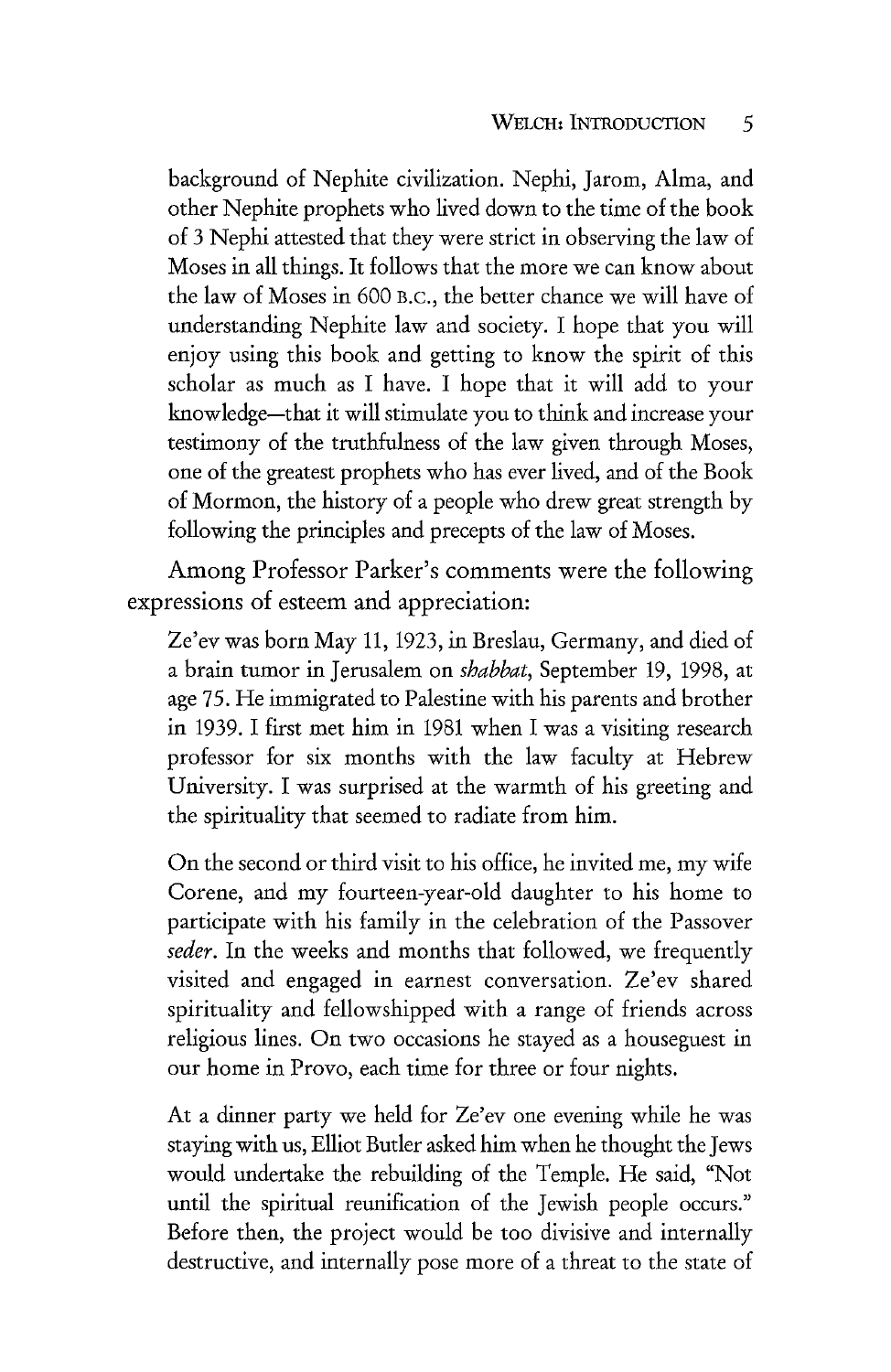background of Nephite civilization. Nephi, Jarom, Alma, and other Nephite prophets who lived down to the time of the book of 3 Nephi attested that they were strict in observing the law of Moses in all things. It follows that the more we can know about the law of Moses in 600 B.c., the better chance we will have of understanding Nephite law and society. I hope that you will enjoy using this book and getting to know the spirit of this scholar as much as I have. I hope that it will add to your knowledge-that it will stimulate you to think and increase your testimony of the truthfulness of the law given through Moses, one of the greatest prophets who has ever lived, and of the Book of Mormon, the history of a people who drew great strength by following the principles and precepts of the law of Moses.

Among Professor Parker's comments were the following expressions of esteem and appreciation:

Ze'ev was born May 11, 1923, in Breslau, Germany, and died of a brain tumor in Jerusalem on *shabbat,* September 19, 1998, at age 75. He immigrated to Palestine with his parents and brother in 1939. I first met him in 1981 when I was a visiting research professor for six months with the law faculty at Hebrew University. I was surprised at the warmth of his greeting and the spirituality that seemed to radiate from him.

On the second or third visit to his office, he invited me, my wife Corene, and my fourteen-year-old daughter to his home to participate with his family in the celebration of the Passover *seder.* In the weeks and months that followed, we frequently visited and engaged in earnest conversation. Ze'ev shared spirituality and fellowshipped with a range of friends across religious lines. On two occasions he stayed as a houseguest in our home in Provo, each time for three or four nights.

At a dinner party we held for Ze'ev one evening while he was staying with us, Elliot Butler asked him when he thought the Jews would undertake the rebuilding of the Temple. He said, "Not until the spiritual reunification of the Jewish people occurs." Before then, the project would be too divisive and internally destructive, and internally pose more of a threat to the state of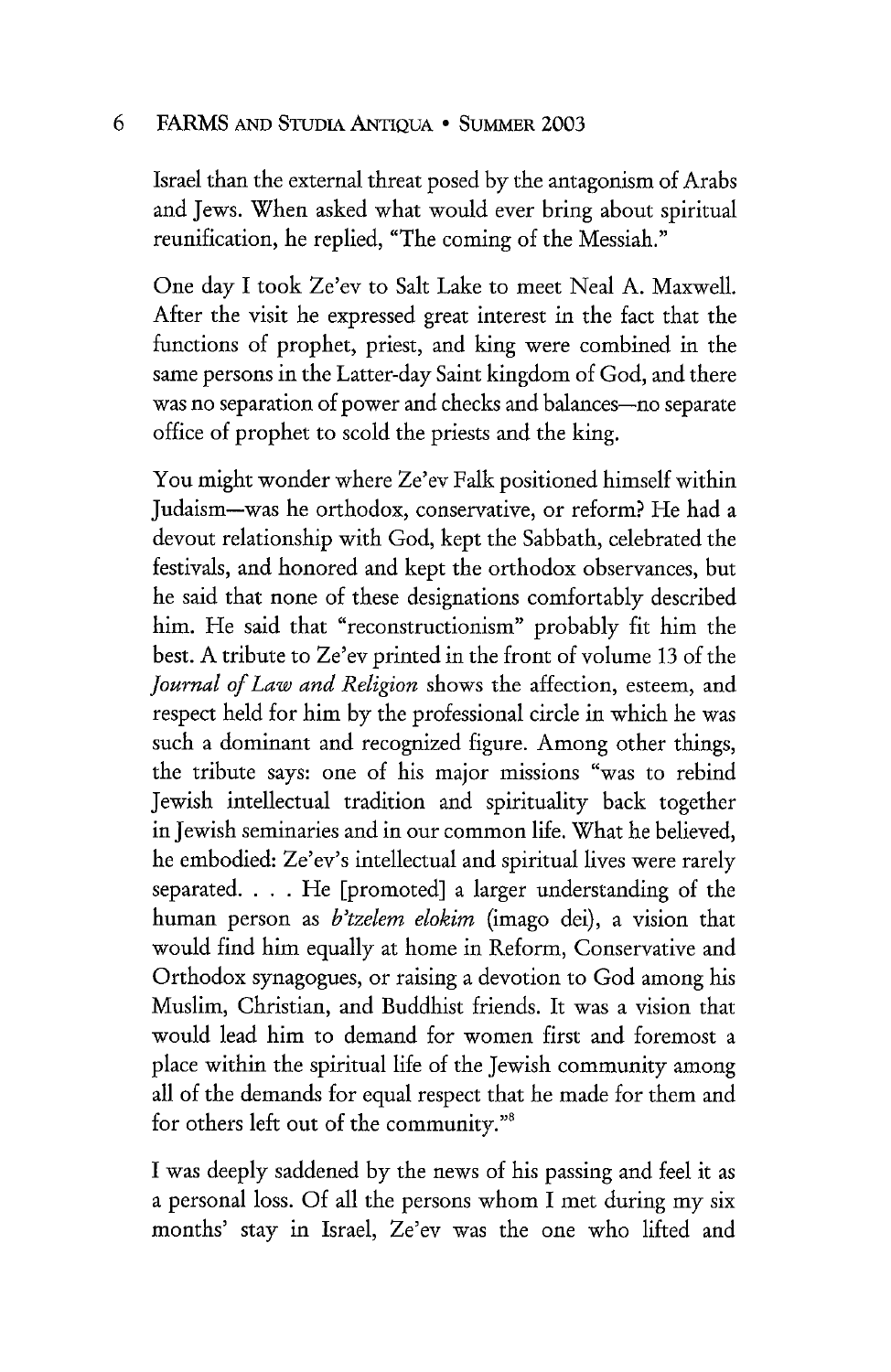Israel than the external threat posed by the antagonism of Arabs and Jews. When asked what would ever bring about spiritual reunification, he replied, "The coming of the Messiah."

One day I took Ze'ev to Salt Lake to meet Neal A. Maxwell. After the visit he expressed great interest in the fact that the functions of prophet, priest, and king were combined in the same persons in the Latter-day Saint kingdom of God, and there was no separation of power and checks and balances-no separate office of prophet to scold the priests and the king.

You might wonder where Ze'ev Falk positioned himself within Judaism-was he orthodox, conservative, or reform? He had a devout relationship with God, kept the Sabbath, celebrated the festivals, and honored and kept the orthodox observances, but he said that none of these designations comfortably described him. He said that "reconstructionism" probably fit him the best. A tribute to Ze'ev printed in the front of volume 13 of the *Journal of Law and Religion* shows the affection, esteem, and respect held for him by the professional circle in which he was such a dominant and recognized figure. Among other things, the tribute says: one of his major missions "was to rebind Jewish intellectual tradition and spirituality back together in Jewish seminaries and in our common life. What he believed, he embodied: Ze'ev's intellectual and spiritual lives were rarely separated. . . . He [promoted] a larger understanding of the human person as *b'tzelem elokim* (imago dei), a vision that would find him equally at home in Reform, Conservative and Orthodox synagogues, or raising a devotion to God among his Muslim, Christian, and Buddhist friends. It was a vision that would lead him to demand for women first and foremost a place within the spiritual life of the Jewish community among all of the demands for equal respect that he made for them and for others left out of the community."8

I was deeply saddened by the news of his passing and feel it as a personal loss. Of all the persons whom I met during my six months' stay in Israel, Ze'ev was the one who lifted and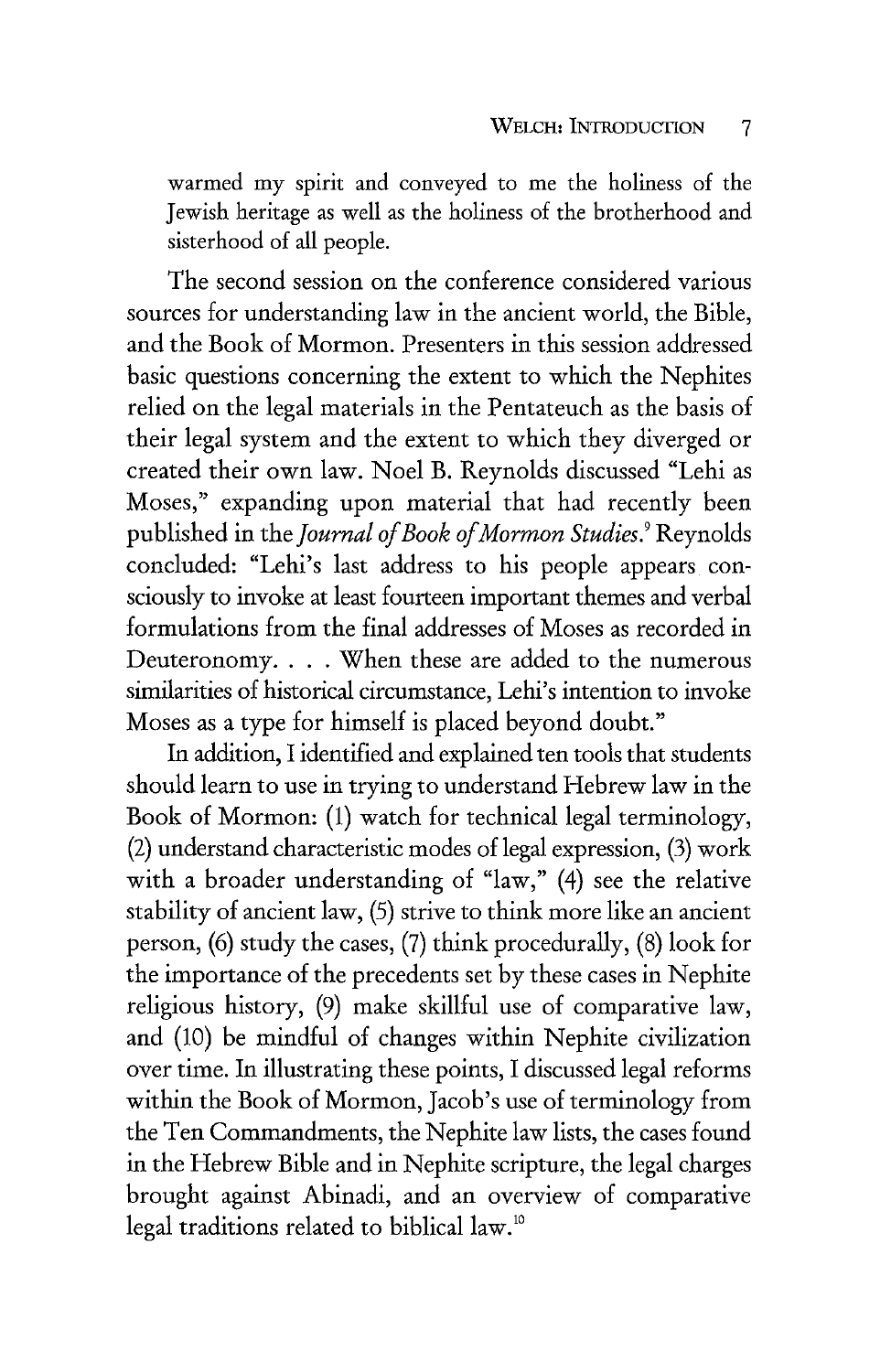warmed my spirit and conveyed to me the holiness of the Jewish heritage as well as the holiness of the brotherhood and sisterhood of all people.

The second session on the conference considered various sources for understanding law in the ancient world, the Bible, and the Book of Mormon. Presenters in this session addressed basic questions concerning the extent to which the Nephites relied on the legal materials in the Pentateuch as the basis of their legal system and the extent to which they diverged or created their own law. Noel B. Reynolds discussed "Lehi as Moses," expanding upon material that had recently been published in the *journal of Book of Mormon Studies.* <sup>9</sup>Reynolds concluded: "Lehi's last address to his people appears consciously to invoke at least fourteen important themes and verbal formulations from the final addresses of Moses as recorded in Deuteronomy. . . . When these are added to the numerous similarities of historical circumstance, Lehi's intention to invoke Moses as a type for himself is placed beyond doubt."

In addition, I identified and explained ten tools that students should learn to use in trying to understand Hebrew law in the Book of Mormon: (1) watch for technical legal terminology, (2) understand characteristic modes of legal expression, (3) work with a broader understanding of "law," (4) see the relative stability of ancient law, (5) strive to think more like an ancient person, (6) study the cases, (7) think procedurally, (8) look for the importance of the precedents set by these cases in Nephite religious history, (9) make skillful use of comparative law, and (10) be mindful of changes within Nephite civilization over time. In illustrating these points, I discussed legal reforms within the Book of Mormon, Jacob's use of terminology from the Ten Commandments, the Nephite law lists, the cases found in the Hebrew Bible and in Nephite scripture, the legal charges brought against Abinadi, and an overview of comparative legal traditions related to biblical law.<sup>10</sup>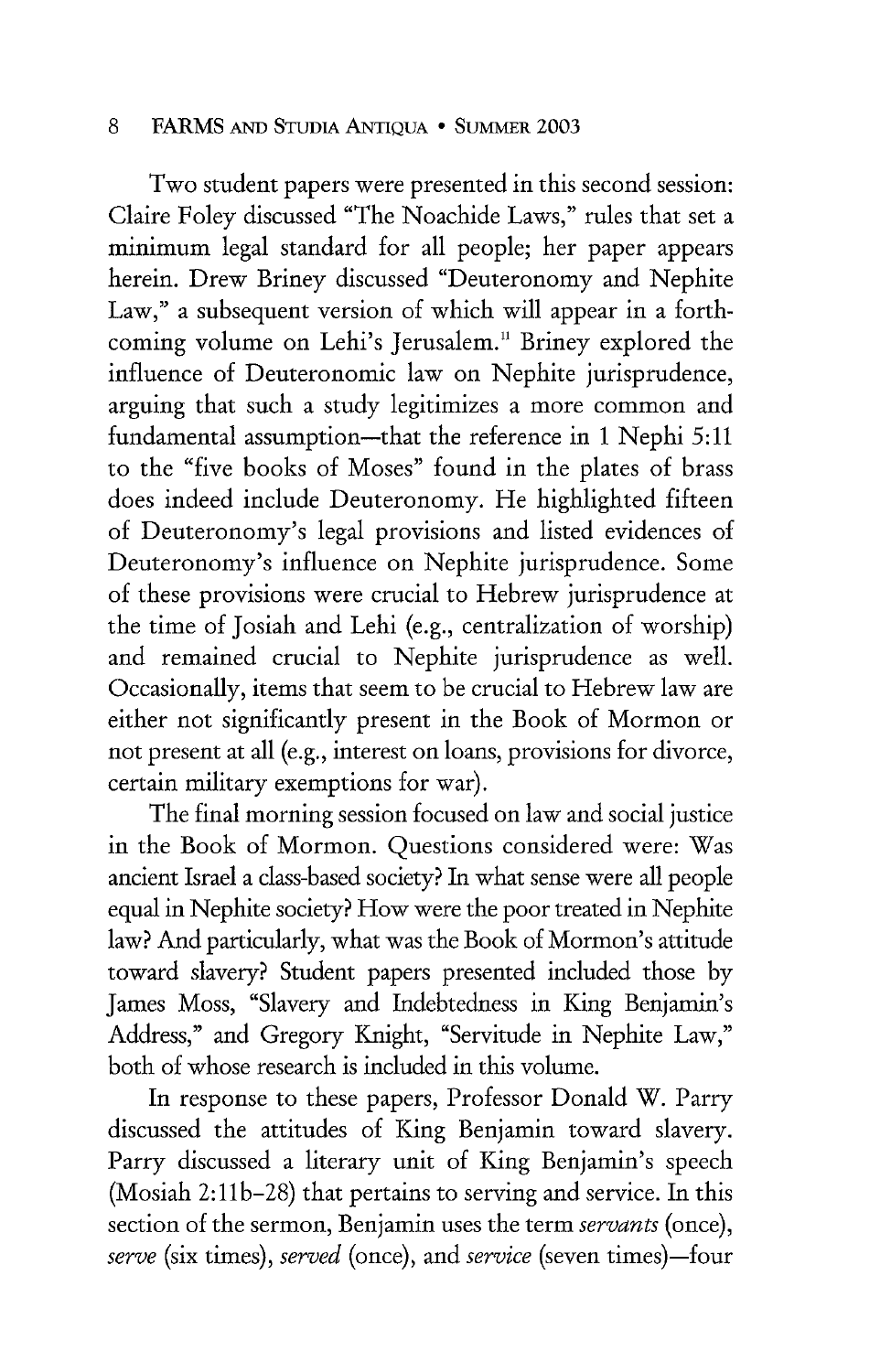Two student papers were presented in this second session: Claire Foley discussed "The Noachide Laws," rules that set a minimum legal standard for all people; her paper appears herein. Drew Briney discussed "Deuteronomy and Nephite Law," a subsequent version of which will appear in a forthcoming volume on Lehi's Jerusalem.<sup>11</sup> Briney explored the influence of Deuteronomic law on Nephite jurisprudence, arguing that such a study legitimizes a more common and fundamental assumption-that the reference in 1 Nephi 5:11 to the "five books of Moses" found in the plates of brass does indeed include Deuteronomy. He highlighted fifteen of Deuteronomy's legal provisions and listed evidences of Deuteronomy's influence on Nephite jurisprudence. Some of these provisions were crucial to Hebrew jurisprudence at the time of Josiah and Lehi (e.g., centralization of worship) and remained crucial to Nephite jurisprudence as well. Occasionally, items that seem to be crucial to Hebrew law are either not significantly present in the Book of Mormon or not present at all (e.g., interest on loans, provisions for divorce, certain military exemptions for war).

The final morning session focused on law and social justice in the Book of Mormon. Questions considered were: Was ancient Israel a class-based society? In what sense were all people equal in Nephite society? How were the poor treated in Nephite law? And particularly, what was the Book of Mormon's attitude toward slavery? Student papers presented included those by James Moss, "Slavery and Indebtedness in King Benjamin's Address," and Gregory Knight, "Servitude in Nephite Law," both of whose research is included in this volume.

In response to these papers, Professor Donald W. Parry discussed the attitudes of King Benjamin toward slavery. Parry discussed a literary unit of King Benjamin's speech (Mosiah 2:11b-28) that pertains to serving and service. In this section of the sermon, Benjamin uses the term *servants* (once), *serve* (six times), *served* (once), and *service* (seven times)-four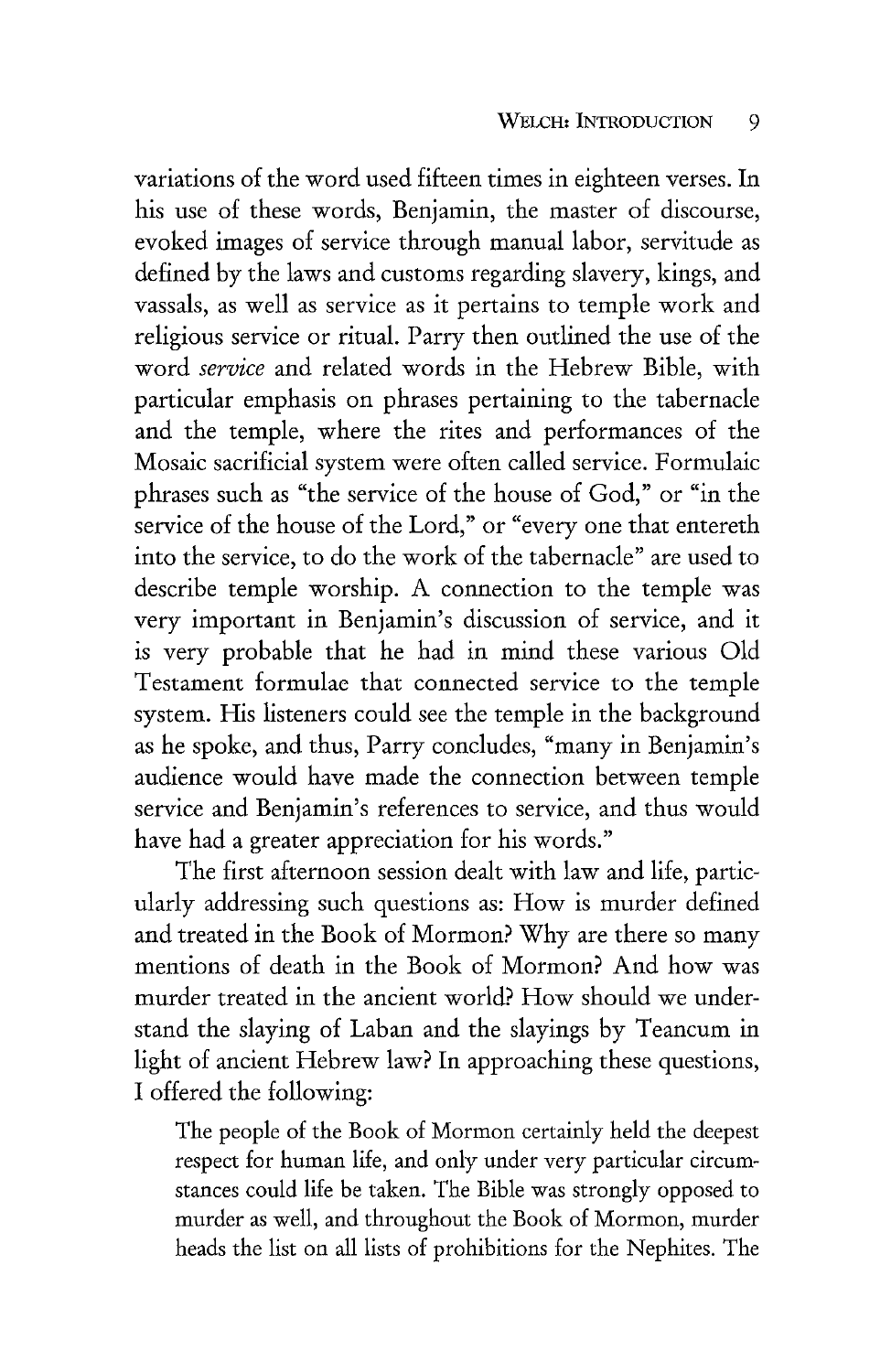variations of the word used fifteen times in eighteen verses. In his use of these words, Benjamin, the master of discourse, evoked images of service through manual labor, servitude as defined by the laws and customs regarding slavery, kings, and vassals, as well as service as it pertains to temple work and religious service or ritual. Parry then outlined the use of the word *service* and related words in the Hebrew Bible, with particular emphasis on phrases pertaining to the tabernacle and the temple, where the rites and performances of the Mosaic sacrificial system were often called service. Formulaic phrases such as "the service of the house of God," or "in the service of the house of the Lord," or "every one that entereth into the service, to do the work of the tabernacle" are used to describe temple worship. A connection to the temple was very important in Benjamin's discussion of service, and it is very probable that he had in mind these various Old Testament formulae that connected service to the temple system. His listeners could see the temple in the background as he spoke, and thus, Parry concludes, "many in Benjamin's audience would have made the connection between temple service and Benjamin's references to service, and thus would have had a greater appreciation for his words."

The first afternoon session dealt with law and life, particularly addressing such questions as: How is murder defined and treated in the Book of Mormon? Why are there so many mentions of death in the Book of Mormon? And how was murder treated in the ancient world? How should we understand the slaying of Laban and the slayings by Teancum in light of ancient Hebrew law? In approaching these questions, I offered the following:

The people of the Book of Mormon certainly held the deepest respect for human life, and only under very particular circumstances could life be taken. The Bible was strongly opposed to murder as well, and throughout the Book of Mormon, murder heads the list on all lists of prohibitions for the Nephites. The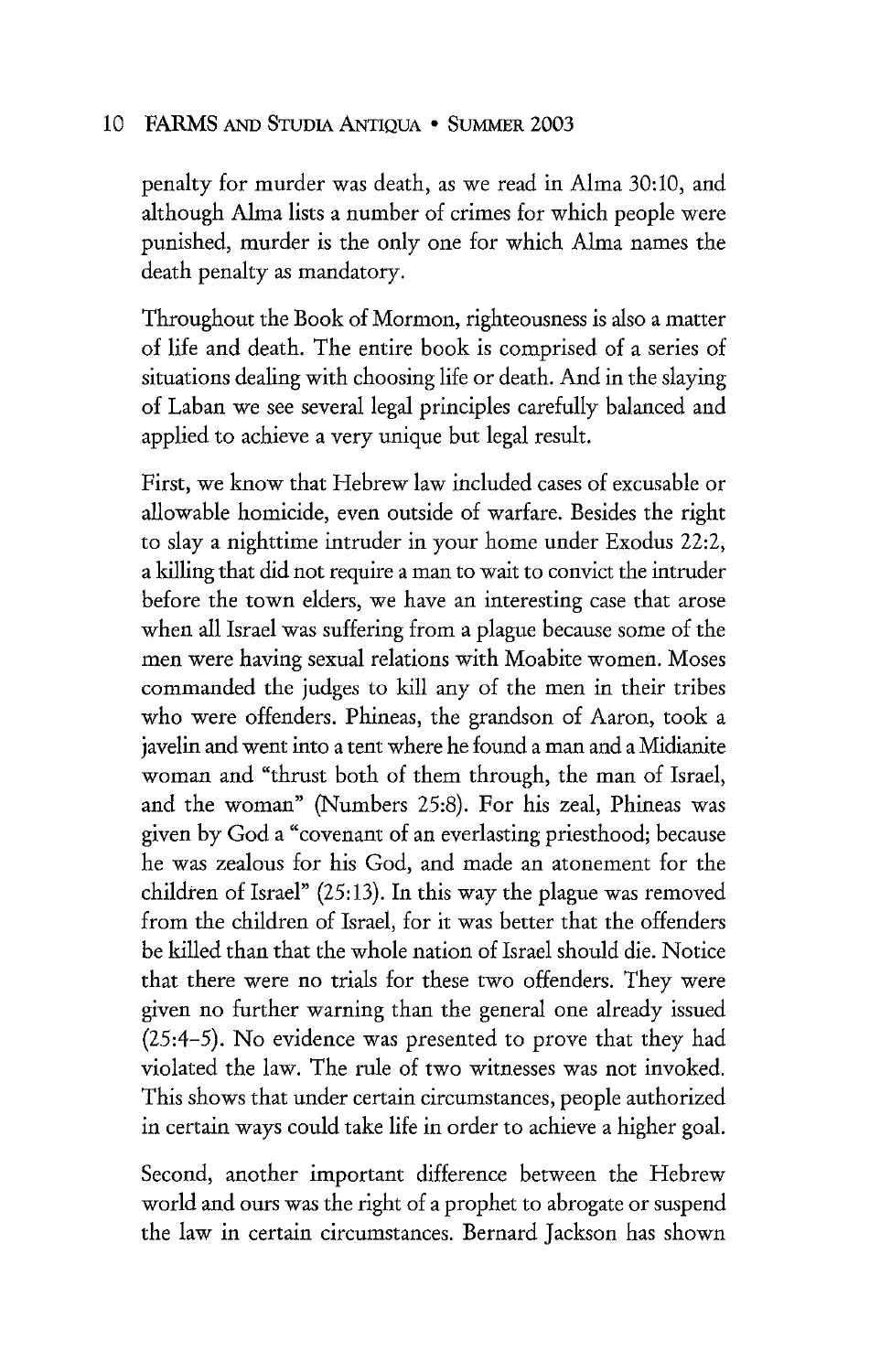penalty for murder was death, as we read in Alma 30:10, and although Alma lists a number of crimes for which people were punished, murder is the only one for which Alma names the death penalty as mandatory.

Throughout the Book of Mormon, righteousness is also a matter of life and death. The entire book is comprised of a series of situations dealing with choosing life or death. And in the slaying of Laban we see several legal principles carefully balanced and applied to achieve a very unique but legal result.

First, we know that Hebrew law included cases of excusable or allowable homicide, even outside of warfare. Besides the right to slay a nighttime intruder in your home under Exodus 22:2, a killing that did not require a man to wait to convict the intruder before the town elders, we have an interesting case that arose when all Israel was suffering from a plague because some of the men were having sexual relations with Moabite women. Moses commanded the judges to kill any of the men in their tribes who were offenders. Phineas, the grandson of Aaron, took a javelin and went into a tent where he found a man and a Midianite woman and "thrust both of them through, the man of Israel, and the woman" (Numbers 25:8). For his zeal, Phineas was given by God a "covenant of an everlasting priesthood; because he was zealous for his God, and made an atonement for the children of Israel" (25:13). In this way the plague was removed from the children of Israel, for it was better that the offenders be killed than that the whole nation of Israel should die. Notice that there were no trials for these two offenders. They were given no further warning than the general one already issued (25:4-5). No evidence was presented to prove that they had violated the law. The rule of two witnesses was not invoked. This shows that under certain circumstances, people authorized in certain ways could take life in order to achieve a higher goal.

Second, another important difference between the Hebrew world and ours was the right of a prophet to abrogate or suspend the law in certain circumstances. Bernard Jackson has shown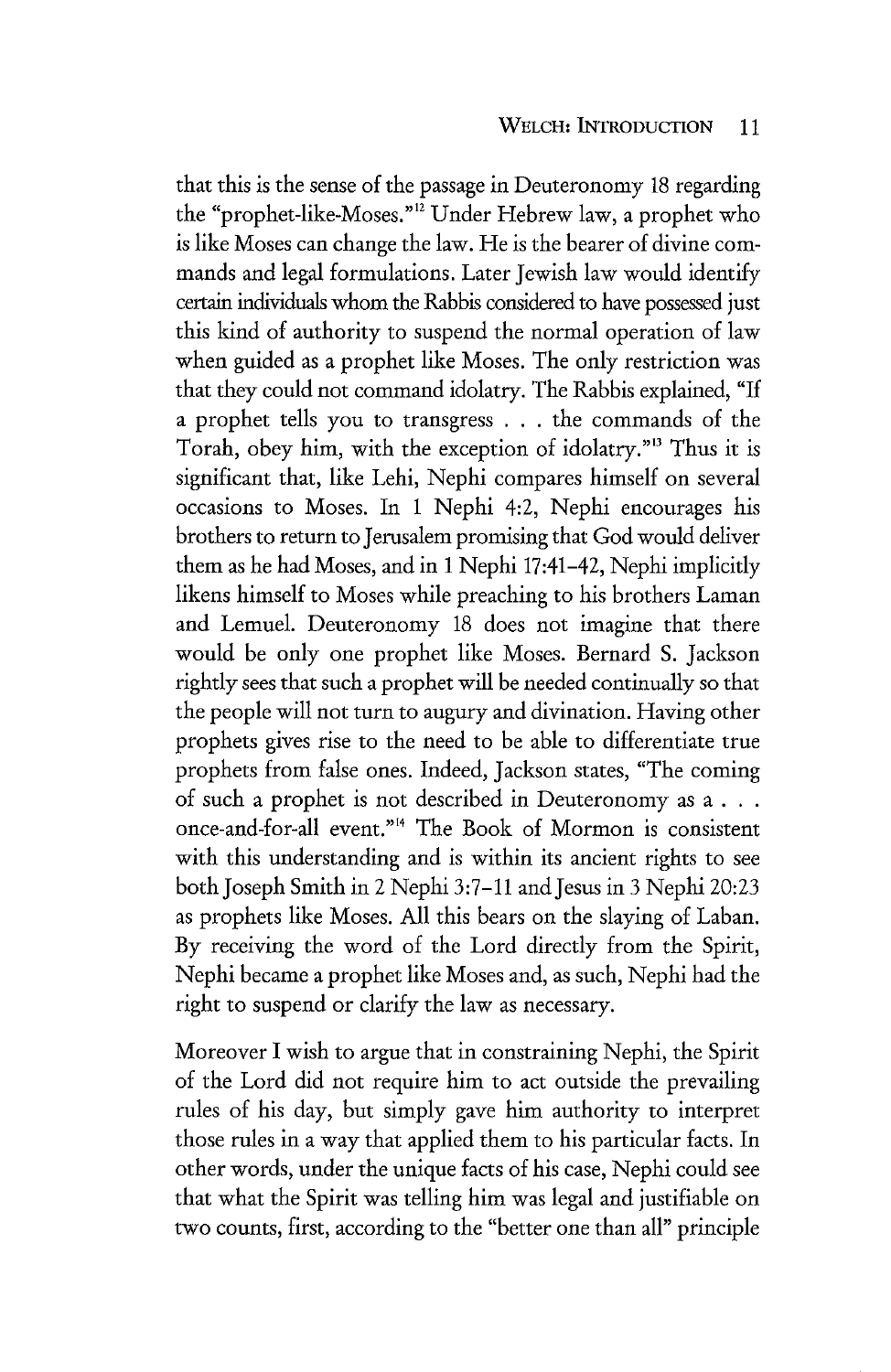that this is the sense of the passage in Deuteronomy 18 regarding the "prophet-like-Moses."<sup>12</sup> Under Hebrew law, a prophet who is like Moses can change the law. He is the bearer of divine commands and legal formulations. Later Jewish law would identify certain individuals whom the Rabbis considered to have possessed just this kind of authority to suspend the normal operation of law when guided as a prophet like Moses. The only restriction was that they could not command idolatry. The Rabbis explained, "If a prophet tells you to transgress . . . the commands of the Torah, obey him, with the exception of idolatry."<sup>13</sup> Thus it is significant that, like Lehi, Nephi compares himself on several occasions to Moses. In 1 Nephi 4:2, Nephi encourages his brothers to return to Jerusalem promising that God would deliver them as he had Moses, and in 1 Nephi 17:41-42, Nephi implicitly likens himself to Moses while preaching to his brothers Laman and Lemuel. Deuteronomy 18 does not imagine that there would be only one prophet like Moses. Bernard S. Jackson rightly sees that such a prophet will be needed continually so that the people will not turn to augury and divination. Having other prophets gives rise to the need to be able to differentiate true prophets from false ones. Indeed, Jackson states, "The coming of such a prophet is not described in Deuteronomy as a . . . once-and-for-all event." 14 The Book of Mormon is consistent with this understanding and is within its ancient rights to see both Joseph Smith in 2 Nephi 3:7-11 and Jesus in 3 Nephi 20:23 as prophets like Moses. All this bears on the slaying of Laban. By receiving the word of the Lord directly from the Spirit, Nephi became a prophet like Moses and, as such, Nephi had the right to suspend or clarify the law as necessary.

Moreover I wish to argue that in constraining Nephi, the Spirit of the Lord did not require him to act outside the prevailing rules of his day, but simply gave him authority to interpret those rules in a way that applied them to his particular facts. In other words, under the unique facts of his case, Nephi could see that what the Spirit was telling him was legal and justifiable on two counts, first, according to the "better one than all" principle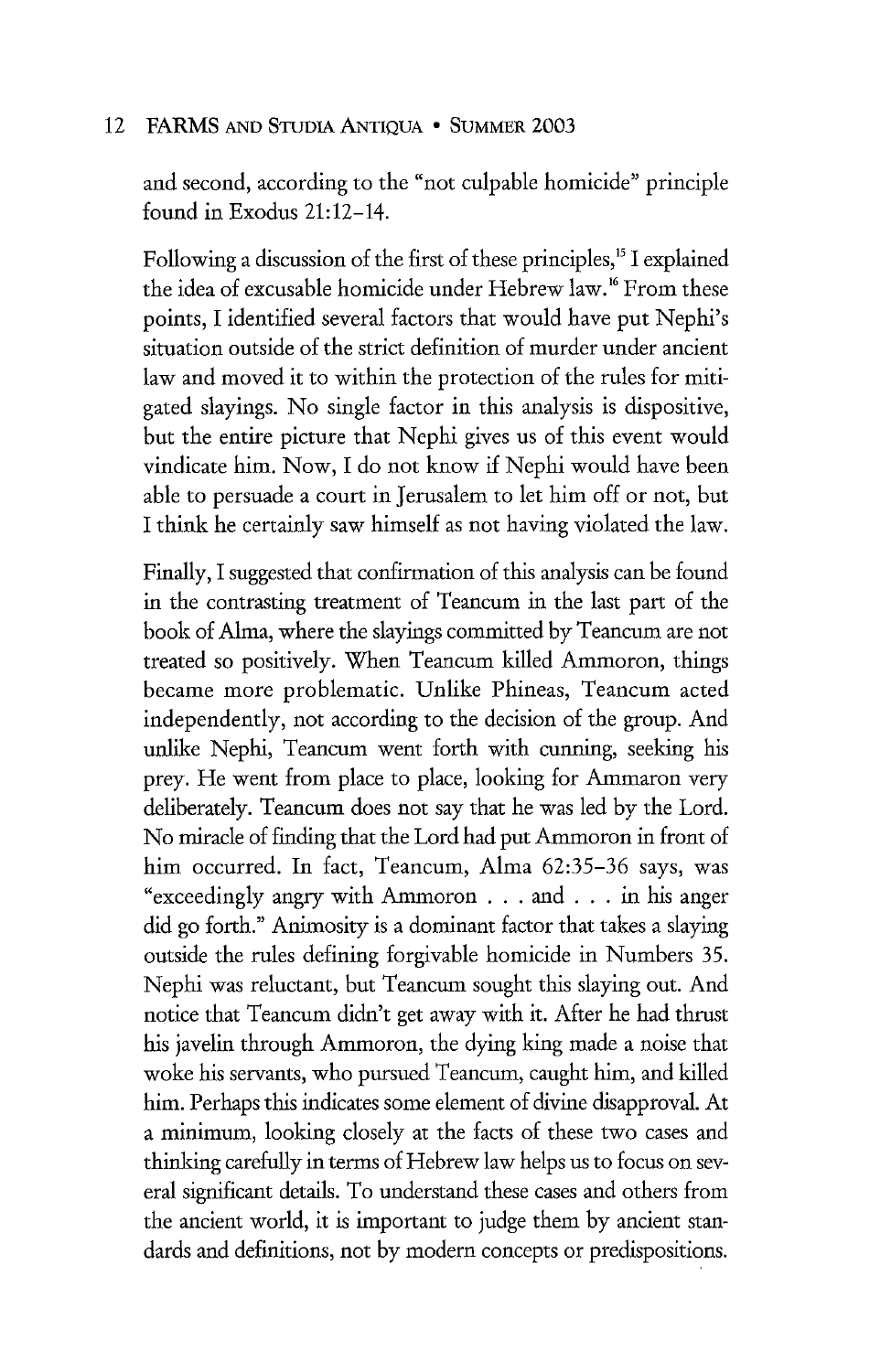and second, according to the "not culpable homicide" principle found in Exodus 21:12-14.

Following a discussion of the first of these principles,<sup>15</sup> I explained the idea of excusable homicide under Hebrew law.<sup>16</sup> From these points, I identified several factors that would have put Nephi's situation outside of the strict definition of murder under ancient law and moved it to within the protection of the rules for mitigated slayings. No single factor in this analysis is dispositive, but the entire picture that Nephi gives us of this event would vindicate him. Now, I do not know if Nephi would have been able to persuade a court in Jerusalem to let him off or not, but I think he certainly saw himself as not having violated the law.

Finally, I suggested that confirmation of this analysis can be found in the contrasting treatment of Teancum in the last part of the book of Alma, where the slayings committed by Teancum are not treated so positively. When Teancum killed Ammoron, things became more problematic. Unlike Phineas, Teancum acted independently, not according to the decision of the group. And unlike Nephi, Teancum went forth with cunning, seeking his prey. He went from place to place, looking for Ammaron very deliberately. Teancum does not say that he was led by the Lord. No miracle of finding that the Lord had put Ammoron in front of him occurred. In fact, Teancum, Alma 62:35-36 says, was "exceedingly angry with Ammoron ... and ... in his anger did go forth." Animosity is a dominant factor that takes a slaying outside the rules defining forgivable homicide in Numbers 35. Nephi was reluctant, but Teancum sought this slaying out. And notice that Teancum didn't get away with it. After he had thrust his javelin through Ammoron, the dying king made a noise that woke his servants, who pursued Teancum, caught him, and killed him. Perhaps this indicates some element of divine disapproval. At a minimum, looking closely at the facts of these two cases and thinking carefully in terms of Hebrew law helps us to focus on several significant details. To understand these cases and others from the ancient world, it is important to judge them by ancient standards and definitions, not by modern concepts or predispositions.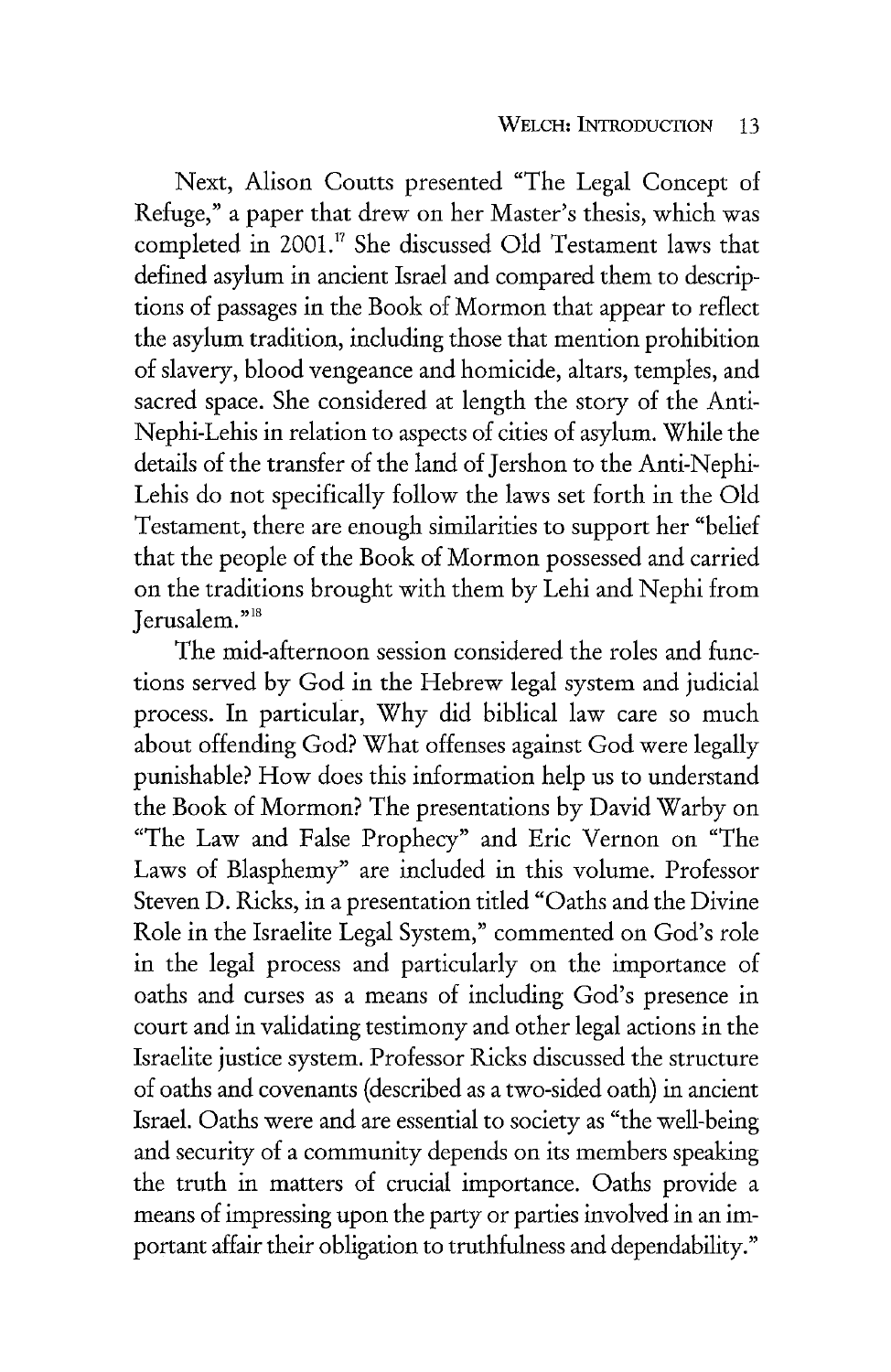Next, Alison Coutts presented "The Legal Concept of Refuge," a paper that drew on her Master's thesis, which was completed in 2001.<sup>17</sup> She discussed Old Testament laws that defined asylum in ancient Israel and compared them to descriptions of passages in the Book of Mormon that appear to reflect the asylum tradition, including those that mention prohibition of slavery, blood vengeance and homicide, altars, temples, and sacred space. She considered at length the story of the Anti-Nephi-Lehis in relation to aspects of cities of asylum. While the details of the transfer of the land of Jershon to the Anti-Nephi-Lehis do not specifically follow the laws set forth in the Old Testament, there are enough similarities to support her "belief that the people of the Book of Mormon possessed and carried on the traditions brought with them by Lehi and Nephi from Jerusalem."<sup>18</sup>

The mid-afternoon session considered the roles and functions served by God in the Hebrew legal system and judicial process. In particular, Why did biblical law care so much about offending God? What offenses against God were legally punishable? How does this information help us to understand the Book of Mormon? The presentations by David Warby on "The Law and False Prophecy" and Eric Vernon on "The Laws of Blasphemy" are included in this volume. Professor Steven D. Ricks, in a presentation titled "Oaths and the Divine Role in the Israelite Legal System," commented on God's role in the legal process and particularly on the importance of oaths and curses as a means of including God's presence in court and in validating testimony and other legal actions in the Israelite justice system. Professor Ricks discussed the structure of oaths and covenants (described as a two-sided oath) in ancient Israel. Oaths were and are essential to society as "the well-being and security of a community depends on its members speaking the truth in matters of crucial importance. Oaths provide a means of impressing upon the party or parties involved in an important affair their obligation to truthfulness and dependability."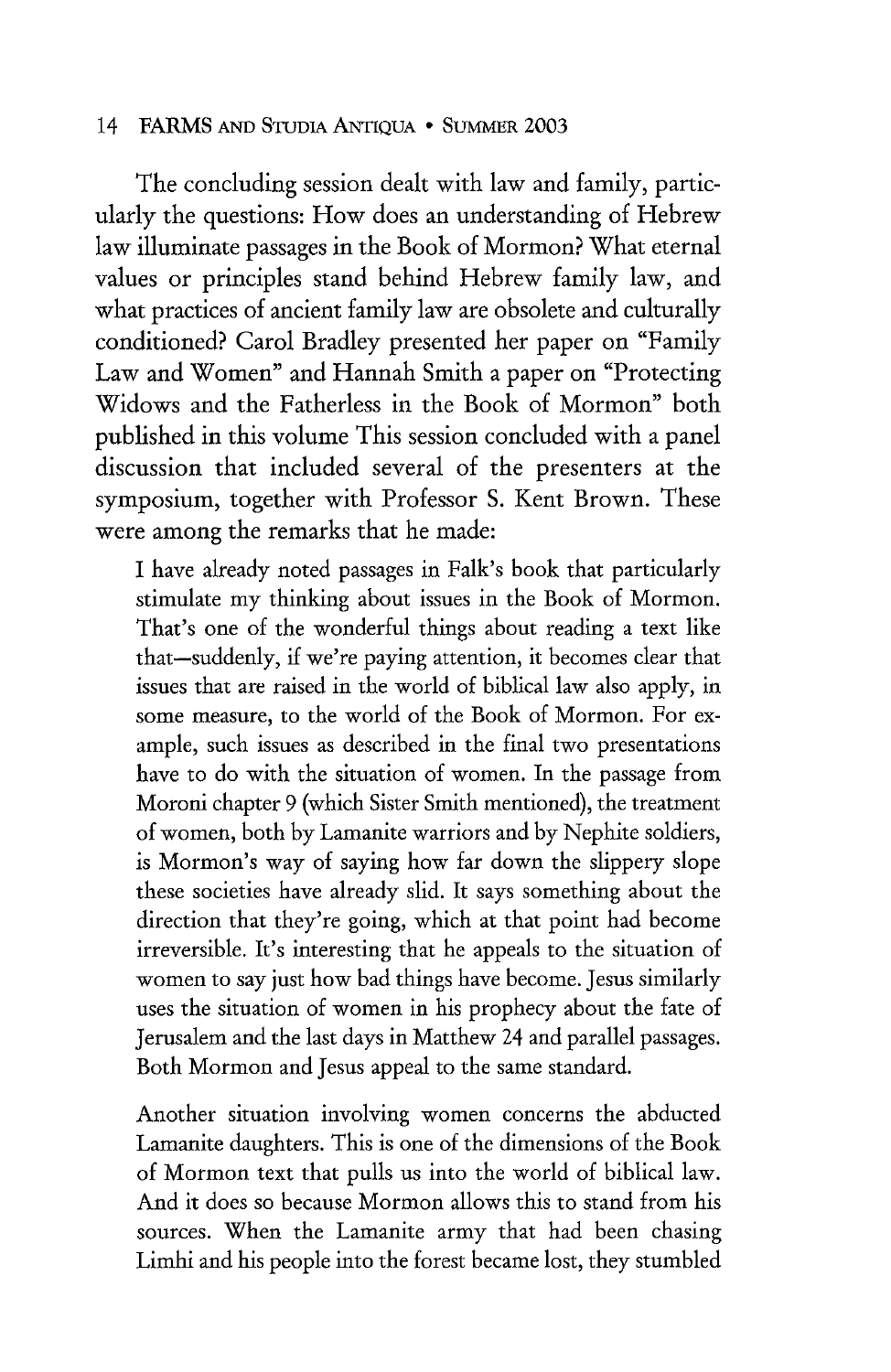The concluding session dealt with law and family, particularly the questions: How does an understanding of Hebrew law illuminate passages in the Book of Mormon? What eternal values or principles stand behind Hebrew family law, and what practices of ancient family law are obsolete and culturally conditioned? Carol Bradley presented her paper on "Family Law and Women" and Hannah Smith a paper on "Protecting Widows and the Fatherless in the Book of Mormon" both published in this volume This session concluded with a panel discussion that included several of the presenters at the symposium, together with Professor S. Kent Brown. These were among the remarks that he made:

I have already noted passages in Falk's book that particularly stimulate my thinking about issues in the Book of Mormon. That's one of the wonderful things about reading a text like that-suddenly, if we're paying attention, it becomes clear that issues that are raised in the world of biblical law also apply, in some measure, to the world of the Book of Mormon. For example, such issues as described in the final two presentations have to do with the situation of women. In the passage from Moroni chapter 9 (which Sister Smith mentioned), the treatment of women, both by Lamanite warriors and by Nephite soldiers, is Mormon's way of saying how far down the slippery slope these societies have already slid. It says something about the direction that they're going, which at that point had become irreversible. It's interesting that he appeals to the situation of women to say just how bad things have become. Jesus similarly uses the situation of women in his prophecy about the fate of Jerusalem and the last days in Matthew 24 and parallel passages. Both Mormon and Jesus appeal to the same standard.

Another situation involving women concerns the abducted Lamanite daughters. This is one of the dimensions of the Book of Mormon text that pulls us into the world of biblical law. And it does so because Mormon allows this to stand from his sources. When the Lamanite army that had been chasing Limhi and his people into the forest became lost, they stumbled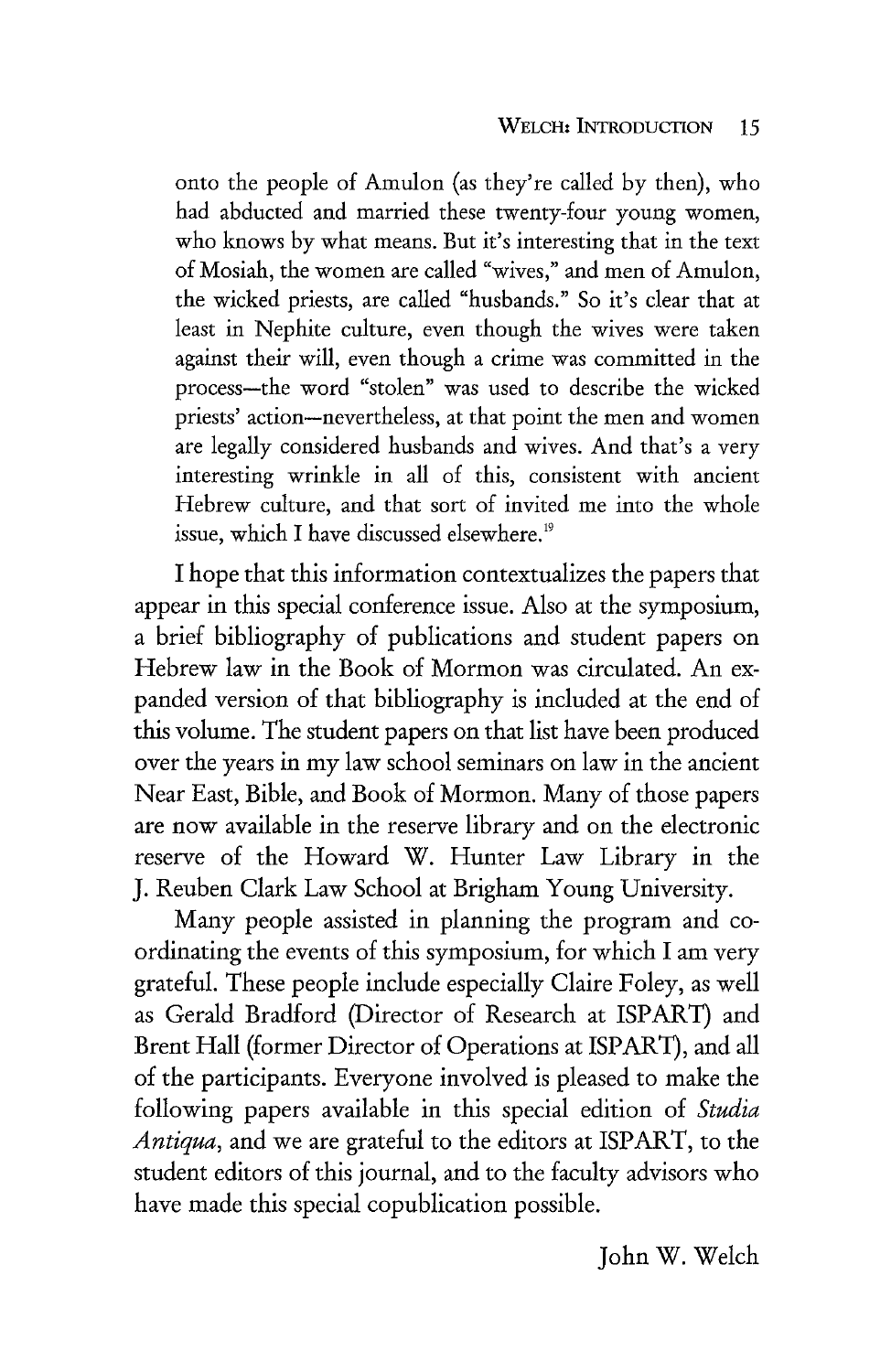onto the people of Amulon (as they're called by then), who had abducted and married these twenty-four young women, who knows by what means. But it's interesting that in the text of Mosiah, the women are called "wives," and men of Amulon, the wicked priests, are called "husbands." So it's clear that at least in Nephite culture, even though the wives were taken against their will, even though a crime was committed in the process-the word "stolen" was used to describe the wicked priests' action-nevertheless, at that point the men and women are legally considered husbands and wives. And that's a very interesting wrinkle in all of this, consistent with ancient Hebrew culture, and that sort of invited me into the whole issue, which I have discussed elsewhere.<sup>19</sup>

I hope that this information contextualizes the papers that appear in this special conference issue. Also at the symposium, a brief bibliography of publications and student papers on Hebrew law in the Book of Mormon was circulated. An expanded version of that bibliography is included at the end of this volume. The student papers on that list have been produced over the years in my law school seminars on law in the ancient Near East, Bible, and Book of Mormon. Many of those papers are now available in the reserve library and on the electronic reserve of the Howard W. Hunter Law Library in the J. Reuben Clark Law School at Brigham Young University.

Many people assisted in planning the program and coordinating the events of this symposium, for which I am very grateful. These people include especially Claire Foley, as well as Gerald Bradford (Director of Research at ISPART) and Brent Hall (former Director of Operations at ISPART), and all of the participants. Everyone involved is pleased to make the following papers available in this special edition of *Studia Antiqua*, and we are grateful to the editors at ISPART, to the student editors of this journal, and to the faculty advisors who have made this special copublication possible.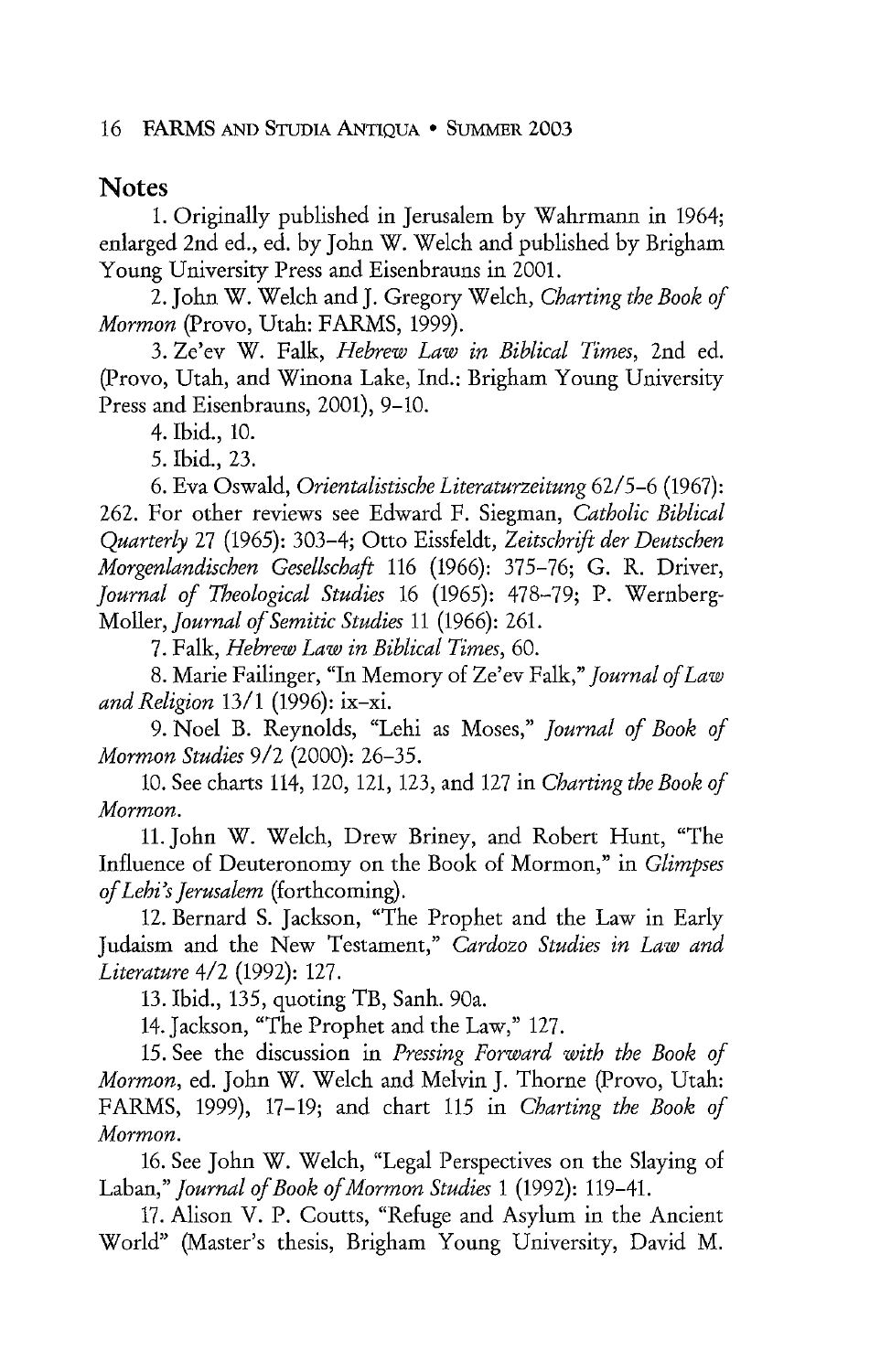## **Notes**

1. Originally published in Jerusalem by Wahrmann in 1964; enlarged 2nd ed., ed. by John W. Welch and published by Brigham Young University Press and Eisenbrauns in 2001.

2. John W. Welch and J. Gregory Welch, *Charting the Book of Mormon* (Provo, Utah: FARMS, 1999).

3. Ze'ev W. Falk, *Hebrew Law in Biblical Times,* 2nd ed. (Provo, Utah, and Winona Lake, Ind.: Brigham Young University Press and Eisenbrauns, 2001), 9-10.

4. Ibid., 10.

5. Ibid., 23.

6. Eva Oswald, *Orientalistische Literaturzeitung* 62/5-6 (1967): 262. For other reviews see Edward F. Siegman, *Catholic Biblical Quarterly* 27 (1965): 303-4; Otto Eissfeldt, *Zeitschrift der Deutschen Morgenlandischen Gesellschaft* 116 (1966): 375-76; G. R. Driver, *Journal of Theological Studies* 16 (1965): 478-79; P. Wernberg-Moller, *Journal of Semitic Studies* 11 (1966): 261.

7. Falk, *Hebrew Law in Biblical Times,* 60.

8. Marie Failinger, "In Memory of Ze'ev Falk," *Journal of Law and Religion* 13/1 (1996): ix-xi.

9. Noel B. Reynolds, "Lehi as Moses," *Journal of Book of Mormon Studies* 9/2 (2000): 26-35.

10. See charts 114, 120, 121, 123, and 127 in *Charting the Book of Mormon.* 

11. John W. Welch, Drew Briney, and Robert Hunt, "The Influence of Deuteronomy on the Book of Mormon," in *Glimpses of Lehi's Jerusalem* (forthcoming).

12. Bernard S. Jackson, "The Prophet and the Law in Early Judaism and the New Testament," *Cardozo Studies in Law and Literature* 4/2 (1992): 127.

13. Ibid., 135, quoting TB, Sanh. 90a.

14.Jackson, "The Prophet and the Law," 127.

15. See the discussion in *Pressing Forward with the Book of Mormon,* ed. John W. Welch and Melvin J. Thorne (Provo, Utah: FARMS, 1999), 17-19; and chart 115 in *Charting the Book of Mormon.* 

16. See John W. Welch, "Legal Perspectives on the Slaying of Laban," *Journal of Book of Mormon Studies* 1 (1992): 119-41.

17. Alison V. P. Coutts, "Refuge and Asylum in the Ancient World" (Master's thesis, Brigham Young University, David M.